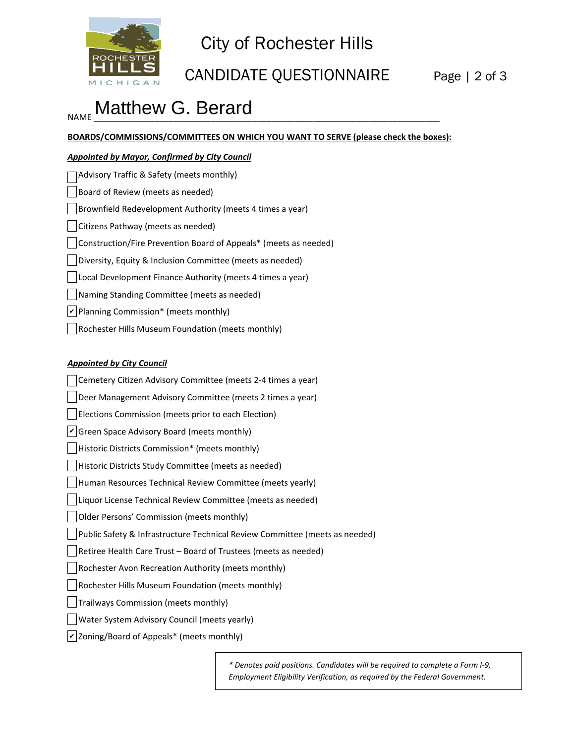

# City of Rochester Hills

CANDIDATE QUESTIONNAIRE Page | 2 of 3

## NAME  $\frac{1}{2}$  . The contract  $\frac{1}{2}$  . The contract of  $\frac{1}{2}$  is the contract of the contract of the contract of the contract of the contract of the contract of the contract of the contract of the contract of the con Matthew G. Berard

**BOARDS/COMMISSIONS/COMMITTEES ON WHICH YOU WANT TO SERVE (please check the boxes):**

#### *Appointed by Mayor, Confirmed by City Council*

| Advisory Traffic & Safety (meets monthly)                        |
|------------------------------------------------------------------|
| Board of Review (meets as needed)                                |
| Brownfield Redevelopment Authority (meets 4 times a year)        |
| Citizens Pathway (meets as needed)                               |
| Construction/Fire Prevention Board of Appeals* (meets as needed) |
| Diversity, Equity & Inclusion Committee (meets as needed)        |
| Local Development Finance Authority (meets 4 times a year)       |
| Naming Standing Committee (meets as needed)                      |
| $ v $ Planning Commission* (meets monthly)                       |
| Rochester Hills Museum Foundation (meets monthly)                |

#### *Appointed by City Council*

Cemetery Citizen Advisory Committee (meets 2-4 times a year) Deer Management Advisory Committee (meets 2 times a year) Elections Commission (meets prior to each Election)  $\vee$  Green Space Advisory Board (meets monthly) Historic Districts Commission\* (meets monthly) Historic Districts Study Committee (meets as needed) Human Resources Technical Review Committee (meets yearly) Liquor License Technical Review Committee (meets as needed) Older Persons' Commission (meets monthly) Public Safety & Infrastructure Technical Review Committee (meets as needed) Retiree Health Care Trust – Board of Trustees (meets as needed) Rochester Avon Recreation Authority (meets monthly) Rochester Hills Museum Foundation (meets monthly) Trailways Commission (meets monthly) Water System Advisory Council (meets yearly)  $\nu$  Zoning/Board of Appeals\* (meets monthly)

> *\* Denotes paid positions. Candidates will be required to complete a Form I-9, Employment Eligibility Verification, as required by the Federal Government.*